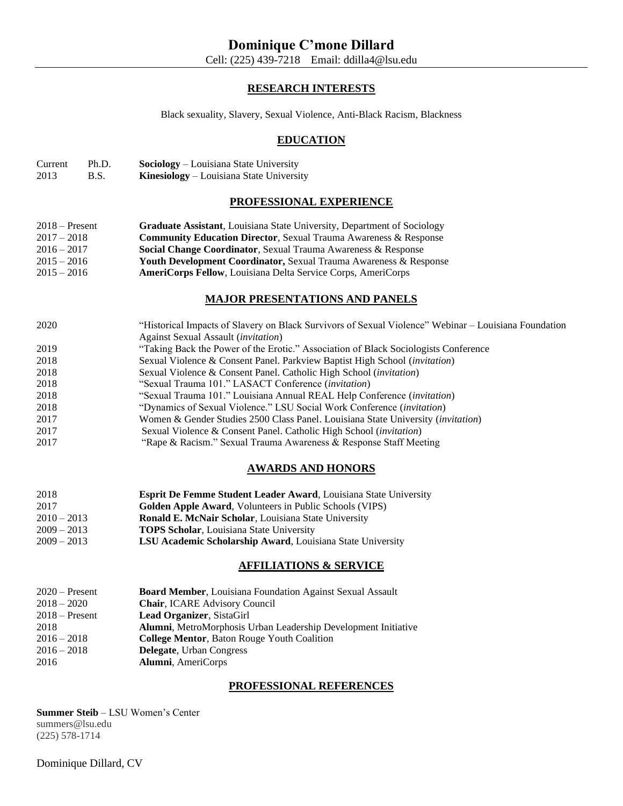# **RESEARCH INTERESTS**

Black sexuality, Slavery, Sexual Violence, Anti-Black Racism, Blackness

# **EDUCATION**

| Current | Ph.D. | <b>Sociology</b> – Louisiana State University   |
|---------|-------|-------------------------------------------------|
| 2013    | B.S.  | <b>Kinesiology</b> – Louisiana State University |

# **PROFESSIONAL EXPERIENCE**

| $2018 -$ Present | Graduate Assistant, Louisiana State University, Department of Sociology      |
|------------------|------------------------------------------------------------------------------|
| $2017 - 2018$    | <b>Community Education Director, Sexual Trauma Awareness &amp; Response</b>  |
| $2016 - 2017$    | Social Change Coordinator, Sexual Trauma Awareness & Response                |
| $2015 - 2016$    | <b>Youth Development Coordinator, Sexual Trauma Awareness &amp; Response</b> |
| $2015 - 2016$    | <b>AmeriCorps Fellow, Louisiana Delta Service Corps, AmeriCorps</b>          |

## **MAJOR PRESENTATIONS AND PANELS**

| 2020 | "Historical Impacts of Slavery on Black Survivors of Sexual Violence" Webinar – Louisiana Foundation |
|------|------------------------------------------------------------------------------------------------------|
|      | Against Sexual Assault <i>(invitation)</i>                                                           |
| 2019 | "Taking Back the Power of the Erotic." Association of Black Sociologists Conference                  |
| 2018 | Sexual Violence & Consent Panel. Parkview Baptist High School (invitation)                           |
| 2018 | Sexual Violence & Consent Panel. Catholic High School ( <i>invitation</i> )                          |
| 2018 | "Sexual Trauma 101." LASACT Conference ( <i>invitation</i> )                                         |
| 2018 | "Sexual Trauma 101." Louisiana Annual REAL Help Conference (invitation)                              |
| 2018 | "Dynamics of Sexual Violence." LSU Social Work Conference (invitation)                               |
| 2017 | Women & Gender Studies 2500 Class Panel. Louisiana State University (invitation)                     |
| 2017 | Sexual Violence & Consent Panel. Catholic High School ( <i>invitation</i> )                          |
| 2017 | "Rape & Racism." Sexual Trauma Awareness & Response Staff Meeting                                    |

## **AWARDS AND HONORS**

| 2018          | <b>Esprit De Femme Student Leader Award, Louisiana State University</b> |
|---------------|-------------------------------------------------------------------------|
| 2017          | <b>Golden Apple Award, Volunteers in Public Schools (VIPS)</b>          |
| $2010 - 2013$ | <b>Ronald E. McNair Scholar, Louisiana State University</b>             |
| $2009 - 2013$ | <b>TOPS Scholar, Louisiana State University</b>                         |
| $2009 - 2013$ | <b>LSU Academic Scholarship Award, Louisiana State University</b>       |

### **AFFILIATIONS & SERVICE**

| $2020$ – Present | <b>Board Member, Louisiana Foundation Against Sexual Assault</b> |
|------------------|------------------------------------------------------------------|
| $2018 - 2020$    | Chair, ICARE Advisory Council                                    |
| $2018 -$ Present | <b>Lead Organizer, SistaGirl</b>                                 |
| 2018             | Alumni, MetroMorphosis Urban Leadership Development Initiative   |
| $2016 - 2018$    | <b>College Mentor, Baton Rouge Youth Coalition</b>               |
| $2016 - 2018$    | <b>Delegate, Urban Congress</b>                                  |
| 2016             | Alumni, AmeriCorps                                               |

## **PROFESSIONAL REFERENCES**

**Summer Steib** – LSU Women's Center summers@lsu.edu (225) 578-1714